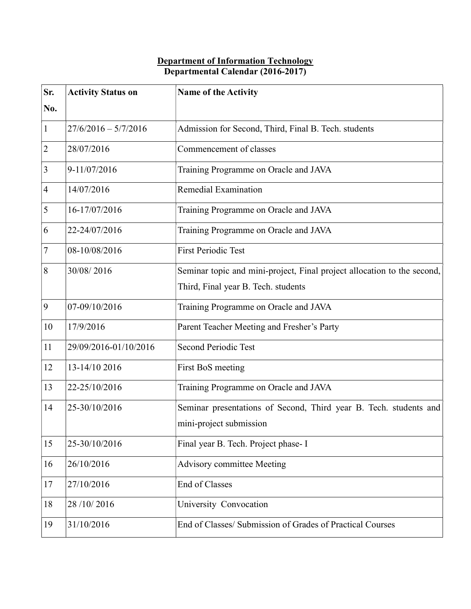## Department of Information Technology Departmental Calendar (2016-2017)

| Sr.             | <b>Activity Status on</b> | Name of the Activity                                                    |
|-----------------|---------------------------|-------------------------------------------------------------------------|
| No.             |                           |                                                                         |
| $\vert$ 1       | $27/6/2016 - 5/7/2016$    | Admission for Second, Third, Final B. Tech. students                    |
| $\overline{2}$  | 28/07/2016                | Commencement of classes                                                 |
| 3               | 9-11/07/2016              | Training Programme on Oracle and JAVA                                   |
| $\overline{4}$  | 14/07/2016                | Remedial Examination                                                    |
| 5               | 16-17/07/2016             | Training Programme on Oracle and JAVA                                   |
| 6               | 22-24/07/2016             | Training Programme on Oracle and JAVA                                   |
| $\tau$          | 08-10/08/2016             | <b>First Periodic Test</b>                                              |
| 8               | 30/08/2016                | Seminar topic and mini-project, Final project allocation to the second, |
|                 |                           | Third, Final year B. Tech. students                                     |
| $\vert 9 \vert$ | 07-09/10/2016             | Training Programme on Oracle and JAVA                                   |
| 10              | 17/9/2016                 | Parent Teacher Meeting and Fresher's Party                              |
| 11              | 29/09/2016-01/10/2016     | <b>Second Periodic Test</b>                                             |
| 12              | 13-14/10 2016             | First BoS meeting                                                       |
| 13              | 22-25/10/2016             | Training Programme on Oracle and JAVA                                   |
| 14              | 25-30/10/2016             | Seminar presentations of Second, Third year B. Tech. students and       |
|                 |                           | mini-project submission                                                 |
| 15              | 25-30/10/2016             | Final year B. Tech. Project phase- I                                    |
| 16              | 26/10/2016                | Advisory committee Meeting                                              |
| 17              | 27/10/2016                | End of Classes                                                          |
| 18              | 28/10/2016                | University Convocation                                                  |
| 19              | 31/10/2016                | End of Classes/ Submission of Grades of Practical Courses               |